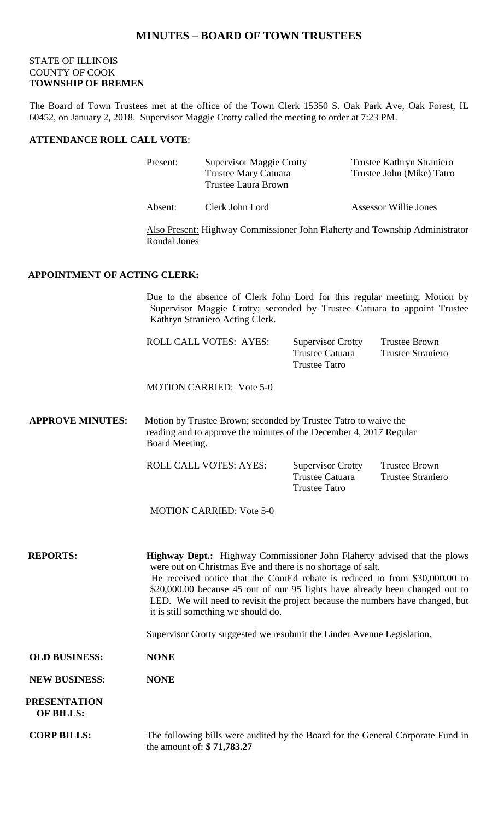# **MINUTES – BOARD OF TOWN TRUSTEES**

## STATE OF ILLINOIS COUNTY OF COOK **TOWNSHIP OF BREMEN**

The Board of Town Trustees met at the office of the Town Clerk 15350 S. Oak Park Ave, Oak Forest, IL 60452, on January 2, 2018. Supervisor Maggie Crotty called the meeting to order at 7:23 PM.

#### **ATTENDANCE ROLL CALL VOTE**:

| Present: | <b>Supervisor Maggie Crotty</b> | Trustee Kathryn Straniero    |
|----------|---------------------------------|------------------------------|
|          | <b>Trustee Mary Catuara</b>     | Trustee John (Mike) Tatro    |
|          | <b>Trustee Laura Brown</b>      |                              |
| Absent:  | Clerk John Lord                 | <b>Assessor Willie Jones</b> |

Also Present: Highway Commissioner John Flaherty and Township Administrator Rondal Jones

## **APPOINTMENT OF ACTING CLERK:**

Due to the absence of Clerk John Lord for this regular meeting, Motion by Supervisor Maggie Crotty; seconded by Trustee Catuara to appoint Trustee Kathryn Straniero Acting Clerk.

| ROLL CALL VOTES: AYES: | <b>Supervisor Crotty</b><br>Trustee Catuara<br>Trustee Tatro | Trustee Brown<br>Trustee Straniero |
|------------------------|--------------------------------------------------------------|------------------------------------|
|                        |                                                              |                                    |
|                        |                                                              |                                    |

MOTION CARRIED: Vote 5-0

**APPROVE MINUTES:** Motion by Trustee Brown; seconded by Trustee Tatro to waive the reading and to approve the minutes of the December 4, 2017 Regular Board Meeting.

ROLL CALL VOTES: AYES: Supervisor Crotty Trustee Brown Trustee Catuara Trustee Straniero Trustee Tatro

MOTION CARRIED: Vote 5-0

**REPORTS: Highway Dept.:** Highway Commissioner John Flaherty advised that the plows were out on Christmas Eve and there is no shortage of salt. He received notice that the ComEd rebate is reduced to from \$30,000.00 to \$20,000.00 because 45 out of our 95 lights have already been changed out to LED. We will need to revisit the project because the numbers have changed, but it is still something we should do.

Supervisor Crotty suggested we resubmit the Linder Avenue Legislation.

**OLD BUSINESS: NONE**

**NEW BUSINESS**: **NONE**

 **PRESENTATION OF BILLS:**

**CORP BILLS:** The following bills were audited by the Board for the General Corporate Fund in the amount of: **\$ 71,783.27**